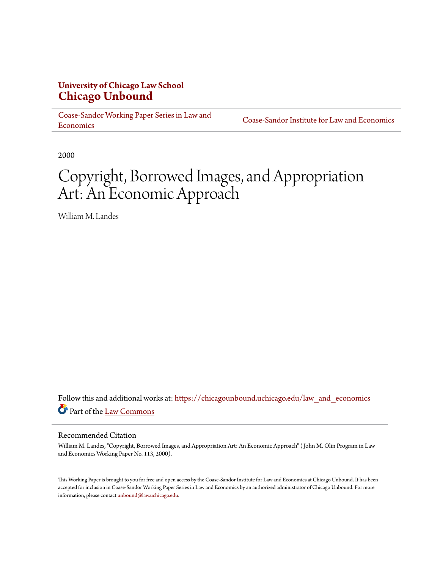### **University of Chicago Law School [Chicago Unbound](https://chicagounbound.uchicago.edu?utm_source=chicagounbound.uchicago.edu%2Flaw_and_economics%2F133&utm_medium=PDF&utm_campaign=PDFCoverPages)**

[Coase-Sandor Working Paper Series in Law and](https://chicagounbound.uchicago.edu/law_and_economics?utm_source=chicagounbound.uchicago.edu%2Flaw_and_economics%2F133&utm_medium=PDF&utm_campaign=PDFCoverPages) [Economics](https://chicagounbound.uchicago.edu/law_and_economics?utm_source=chicagounbound.uchicago.edu%2Flaw_and_economics%2F133&utm_medium=PDF&utm_campaign=PDFCoverPages)

[Coase-Sandor Institute for Law and Economics](https://chicagounbound.uchicago.edu/coase_sandor_institute?utm_source=chicagounbound.uchicago.edu%2Flaw_and_economics%2F133&utm_medium=PDF&utm_campaign=PDFCoverPages)

2000

# Copyright, Borrowed Images, and Appropriation Art: An Economic Approach

William M. Landes

Follow this and additional works at: [https://chicagounbound.uchicago.edu/law\\_and\\_economics](https://chicagounbound.uchicago.edu/law_and_economics?utm_source=chicagounbound.uchicago.edu%2Flaw_and_economics%2F133&utm_medium=PDF&utm_campaign=PDFCoverPages) Part of the [Law Commons](http://network.bepress.com/hgg/discipline/578?utm_source=chicagounbound.uchicago.edu%2Flaw_and_economics%2F133&utm_medium=PDF&utm_campaign=PDFCoverPages)

#### Recommended Citation

William M. Landes, "Copyright, Borrowed Images, and Appropriation Art: An Economic Approach" ( John M. Olin Program in Law and Economics Working Paper No. 113, 2000).

This Working Paper is brought to you for free and open access by the Coase-Sandor Institute for Law and Economics at Chicago Unbound. It has been accepted for inclusion in Coase-Sandor Working Paper Series in Law and Economics by an authorized administrator of Chicago Unbound. For more information, please contact [unbound@law.uchicago.edu.](mailto:unbound@law.uchicago.edu)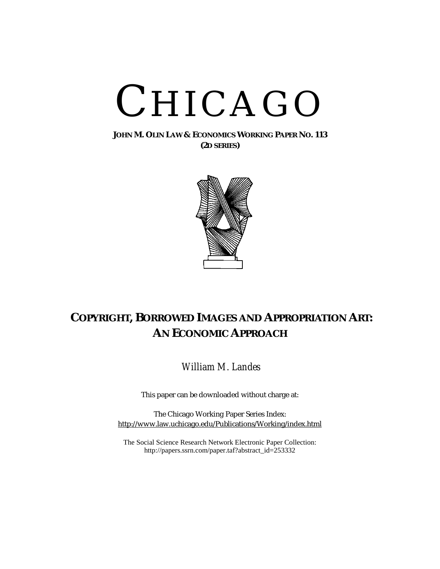# C HICAGO

#### **JOHN M. OLIN LAW & ECONOMICS WORKING PAPER NO. 113 (2D SERIES)**



## **COPYRIGHT, BORROWED IMAGES AND APPROPRIATION ART: AN ECONOMIC APPROACH**

 *William M. Landes* 

This paper can be downloaded without charge at:

The Chicago Working Paper Series Index: <http://www.law.uchicago.edu/Publications/Working/index.html>

The Social Science Research Network Electronic Paper Collection: [http://papers.ssrn.com/paper.taf?abstract\\_id=253332](http://papers.ssrn.com/sol3/search.taf)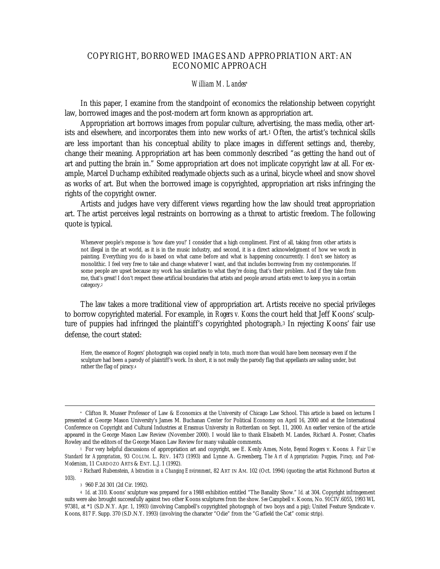#### COPYRIGHT, BORROWED IMAGES AND APPROPRIATION ART: AN ECONOMIC APPROACH

#### *William M. Landes\**

In this paper, I examine from the standpoint of economics the relationship between copyright law, borrowed images and the post-modern art form known as appropriation art.

Appropriation art borrows images from popular culture, advertising, the mass media, other artists and elsewhere, and incorporates them into new works of art.1 Often, the artist's technical skills are less important than his conceptual ability to place images in different settings and, thereby, change their meaning. Appropriation art has been commonly described "as getting the hand out of art and putting the brain in." Some appropriation art does not implicate copyright law at all. For example, Marcel Duchamp exhibited readymade objects such as a urinal, bicycle wheel and snow shovel as works of art. But when the borrowed image is copyrighted, appropriation art risks infringing the rights of the copyright owner.

Artists and judges have very different views regarding how the law should treat appropriation art. The artist perceives legal restraints on borrowing as a threat to artistic freedom. The following quote is typical.

Whenever people's response is 'how dare you!' I consider that a high compliment. First of all, taking from other artists is not illegal in the art world, as it is in the music industry, and second, it is a direct acknowledgment of how we work in painting. Everything you do is based on what came before and what is happening concurrently. I don't see history as monolithic. I feel very free to take and change whatever I want, and that includes borrowing from my contemporaries. If some people are upset because my work has similarities to what they're doing, that's their problem. And if they take from me, that's great! I don't respect these artificial boundaries that artists and people around artists erect to keep you in a certain category.2

The law takes a more traditional view of appropriation art. Artists receive no special privileges to borrow copyrighted material. For example, in *Rogers v. Koons* the court held that Jeff Koons' sculpture of puppies had infringed the plaintiff's copyrighted photograph.3 In rejecting Koons' fair use defense, the court stated:

Here, the essence of Rogers' photograph was copied nearly in toto, much more than would have been necessary even if the sculpture had been a parody of plaintiff's work. In short, it is not really the parody flag that appellants are sailing under, but rather the flag of piracy.4

3 960 F.2d 301 (2d Cir. 1992).

<sup>\*</sup> Clifton R. Musser Professor of Law & Economics at the University of Chicago Law School. This article is based on lectures I presented at George Mason University's James M. Buchanan Center for Political Economy on April 16, 2000 and at the International Conference on Copyright and Cultural Industries at Erasmus University in Rotterdam on Sept. 11, 2000. An earlier version of the article appeared in the George Mason Law Review (November 2000). I would like to thank Elisabeth M. Landes, Richard A. Posner, Charles Rowley and the editors of the George Mason Law Review for many valuable comments.

<sup>1</sup> For very helpful discussions of appropriation art and copyright, see E. Kenly Ames, Note, *Beyond* Rogers v. Koons*: A Fair Use Standard for Appropriation*, 93 COLUM. L. REV. 1473 (1993) and Lynne A. Greenberg, *The Art of Appropriation: Puppies, Piracy, and Post-Modernism*, 11 CARDOZO ARTS & ENT. L.J. 1 (1992).

<sup>2</sup> Richard Rubenstein, *Abstraction in a Changing Environment*, 82 ART IN AM. 102 (Oct. 1994) (quoting the artist Richmond Burton at 103).

<sup>4</sup> *Id*. at 310. Koons' sculpture was prepared for a 1988 exhibition entitled "The Banality Show." *Id.* at 304. Copyright infringement suits were also brought successfully against two other Koons sculptures from the show. *See* Campbell v. Koons, No. 91CIV.6055, 1993 WL 97381, at \*1 (S.D.N.Y. Apr. 1, 1993) (involving Campbell's copyrighted photograph of two boys and a pig); United Feature Syndicate v. Koons, 817 F. Supp. 370 (S.D.N.Y. 1993) (involving the character "Odie" from the "Garfield the Cat" comic strip).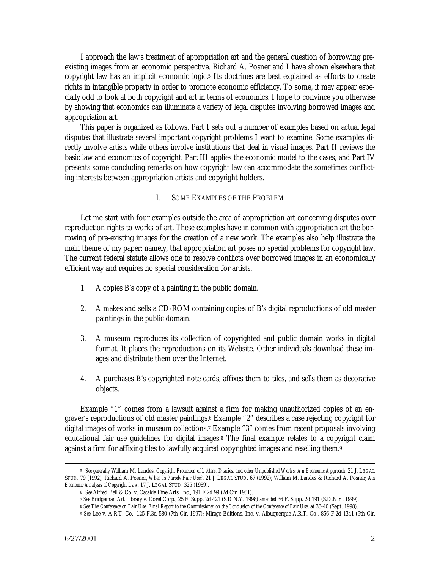I approach the law's treatment of appropriation art and the general question of borrowing preexisting images from an economic perspective. Richard A. Posner and I have shown elsewhere that copyright law has an implicit economic logic.5 Its doctrines are best explained as efforts to create rights in intangible property in order to promote economic efficiency. To some, it may appear especially odd to look at both copyright and art in terms of economics. I hope to convince you otherwise by showing that economics can illuminate a variety of legal disputes involving borrowed images and appropriation art.

This paper is organized as follows. Part I sets out a number of examples based on actual legal disputes that illustrate several important copyright problems I want to examine. Some examples directly involve artists while others involve institutions that deal in visual images. Part II reviews the basic law and economics of copyright. Part III applies the economic model to the cases, and Part IV presents some concluding remarks on how copyright law can accommodate the sometimes conflicting interests between appropriation artists and copyright holders.

#### I. SOME EXAMPLES OF THE PROBLEM

Let me start with four examples outside the area of appropriation art concerning disputes over reproduction rights to works of art. These examples have in common with appropriation art the borrowing of pre-existing images for the creation of a new work. The examples also help illustrate the main theme of my paper: namely, that appropriation art poses no special problems for copyright law. The current federal statute allows one to resolve conflicts over borrowed images in an economically efficient way and requires no special consideration for artists.

- 1 A copies B's copy of a painting in the public domain.
- 2. A makes and sells a CD-ROM containing copies of B's digital reproductions of old master paintings in the public domain.
- 3. A museum reproduces its collection of copyrighted and public domain works in digital format. It places the reproductions on its Website. Other individuals download these images and distribute them over the Internet.
- 4. A purchases B's copyrighted note cards, affixes them to tiles, and sells them as decorative objects.

Example "1" comes from a lawsuit against a firm for making unauthorized copies of an engraver's reproductions of old master paintings.6 Example "2" describes a case rejecting copyright for digital images of works in museum collections.7 Example "3" comes from recent proposals involving educational fair use guidelines for digital images.8 The final example relates to a copyright claim against a firm for affixing tiles to lawfully acquired copyrighted images and reselling them.9

<sup>5</sup> *See generally* William M. Landes, *Copyright Protection of Letters, Diaries, and other Unpublished Works: An Economic Approach*, 21 J. LEGAL STUD. 79 (1992); Richard A. Posner, *When Is Parody Fair Use?*, 21 J. LEGAL STUD. 67 (1992); William M. Landes & Richard A. Posner, *An Economic Analysis of Copyright Law*, 17 J. LEGAL STUD. 325 (1989).

<sup>6</sup> *See* Alfred Bell & Co. v. Catalda Fine Arts, Inc., 191 F.2d 99 (2d Cir. 1951).

<sup>7</sup> *See* Bridgeman Art Library v. Corel Corp., 25 F. Supp. 2d 421 (S.D.N.Y. 1998) *amended* 36 F. Supp. 2d 191 (S.D.N.Y. 1999).

<sup>8</sup> *See The Conference on Fair Use: Final Report to the Commissioner on the Conclusion of the Conference of Fair Use*, at 33-40 (Sept. 1998).

<sup>9</sup> *See* Lee v. A.R.T. Co., 125 F.3d 580 (7th Cir. 1997); Mirage Editions, Inc. v. Albuquerque A.R.T. Co., 856 F.2d 1341 (9th Cir.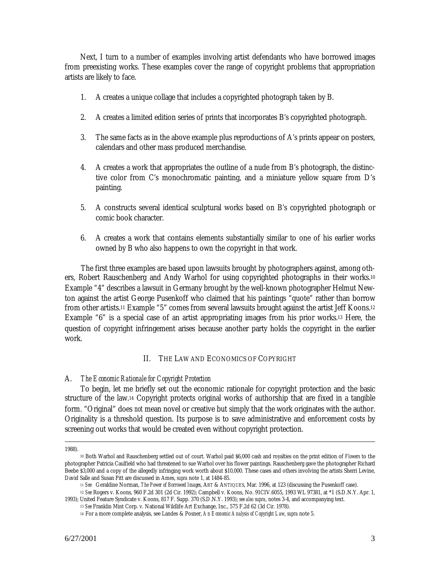Next, I turn to a number of examples involving artist defendants who have borrowed images from preexisting works. These examples cover the range of copyright problems that appropriation artists are likely to face.

- 1. A creates a unique collage that includes a copyrighted photograph taken by B.
- 2. A creates a limited edition series of prints that incorporates B's copyrighted photograph.
- 3. The same facts as in the above example plus reproductions of A's prints appear on posters, calendars and other mass produced merchandise.
- 4. A creates a work that appropriates the outline of a nude from B's photograph, the distinctive color from C's monochromatic painting, and a miniature yellow square from D's painting.
- 5. A constructs several identical sculptural works based on B's copyrighted photograph or comic book character.
- 6. A creates a work that contains elements substantially similar to one of his earlier works owned by B who also happens to own the copyright in that work.

The first three examples are based upon lawsuits brought by photographers against, among others, Robert Rauschenberg and Andy Warhol for using copyrighted photographs in their works.10 Example "4" describes a lawsuit in Germany brought by the well-known photographer Helmut Newton against the artist George Pusenkoff who claimed that his paintings "quote" rather than borrow from other artists.<sup>11</sup> Example "5" comes from several lawsuits brought against the artist Jeff Koons.<sup>12</sup> Example "6" is a special case of an artist appropriating images from his prior works.13 Here, the question of copyright infringement arises because another party holds the copyright in the earlier work.

#### II. THE LAW AND ECONOMICS OF COPYRIGHT

#### A. *The Economic Rationale for Copyright Protection*

To begin, let me briefly set out the economic rationale for copyright protection and the basic structure of the law.14 Copyright protects original works of authorship that are fixed in a tangible form. "Original" does *not* mean novel or creative but simply that the work originates with the author. Originality is a threshold question. Its purpose is to save administrative and enforcement costs by screening out works that would be created even without copyright protection.

<sup>1988).</sup> 

<sup>10</sup> Both Warhol and Rauschenberg settled out of court. Warhol paid \$6,000 cash and royalties on the print edition of *Flowers* to the photographer Patricia Caulfield who had threatened to sue Warhol over his flower paintings. Rauschenberg gave the photographer Richard Beebe \$3,000 and a copy of the allegedly infringing work worth about \$10,000. These cases and others involving the artists Sherri Levine, David Salle and Susan Pitt are discussed in Ames, *supra* note 1, at 1484-85.

<sup>11</sup> *See* Geraldine Norman, *The Power of Borrowed Images*, ART & ANTIQUES, Mar. 1996, at 123 (discussing the Pusenkoff case).

<sup>12</sup> *See* Rogers v. Koons, 960 F.2d 301 (2d Cir. 1992); Campbell v. Koons, No. 91CIV.6055, 1993 WL 97381, at \*1 (S.D.N.Y. Apr. 1, 1993); United Feature Syndicate v. Koons, 817 F. Supp. 370 (S.D.N.Y. 1993); *see also supra*, notes 3-4, and accompanying text.

<sup>13</sup> *See* Franklin Mint Corp. v. National Wildlife Art Exchange, Inc., 575 F.2d 62 (3d Cir. 1978).

<sup>14</sup> For a more complete analysis, see Landes & Posner, *An Economic Analysis of Copyright Law*, *supra* note 5.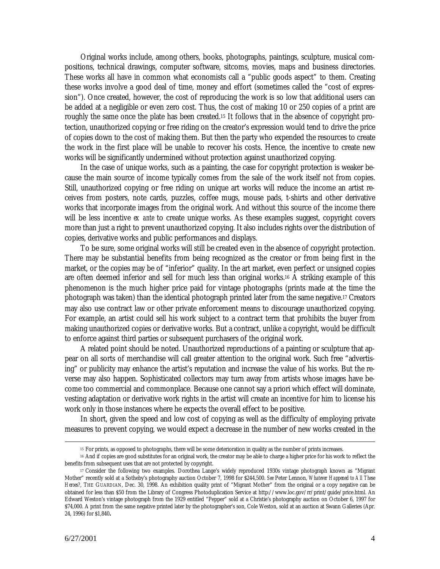Original works include, among others, books, photographs, paintings, sculpture, musical compositions, technical drawings, computer software, sitcoms, movies, maps and business directories. These works all have in common what economists call a "public goods aspect" to them. Creating these works involve a good deal of time, money and effort (sometimes called the "cost of expression"). Once created, however, the cost of reproducing the work is so low that additional users can be added at a negligible or even zero cost. Thus, the cost of making 10 or 250 copies of a print are roughly the same once the plate has been created.15 It follows that in the absence of copyright protection, unauthorized copying or free riding on the creator's expression would tend to drive the price of copies down to the cost of making them. But then the party who expended the resources to create the work in the first place will be unable to recover his costs. Hence, the incentive to create new works will be significantly undermined without protection against unauthorized copying.

In the case of unique works, such as a painting, the case for copyright protection is weaker because the main source of income typically comes from the sale of the work itself not from copies. Still, unauthorized copying or free riding on unique art works will reduce the income an artist receives from posters, note cards, puzzles, coffee mugs, mouse pads, t-shirts and other derivative works that incorporate images from the original work. And without this source of the income there will be less incentive *ex ante* to create unique works. As these examples suggest, copyright covers more than just a right to prevent unauthorized copying. It also includes rights over the distribution of copies, derivative works and public performances and displays.

To be sure, some original works will still be created even in the absence of copyright protection. There may be substantial benefits from being recognized as the creator or from being first in the market, or the copies may be of "inferior" quality. In the art market, even perfect or unsigned copies are often deemed inferior and sell for much less than original works.16 A striking example of this phenomenon is the much higher price paid for vintage photographs (prints made at the time the photograph was taken) than the identical photograph printed later from the same negative.17 Creators may also use contract law or other private enforcement means to discourage unauthorized copying. For example, an artist could sell his work subject to a contract term that prohibits the buyer from making unauthorized copies or derivative works. But a contract, unlike a copyright, would be difficult to enforce against third parties or subsequent purchasers of the original work.

A related point should be noted. Unauthorized reproductions of a painting or sculpture that appear on all sorts of merchandise will call greater attention to the original work. Such free "advertising" or publicity may enhance the artist's reputation and increase the value of his works. But the reverse may also happen. Sophisticated collectors may turn away from artists whose images have become too commercial and commonplace. Because one cannot say a priori which effect will dominate, vesting adaptation or derivative work rights in the artist will create an incentive for him to license his work only in those instances where he expects the overall effect to be positive.

In short, given the speed and low cost of copying as well as the difficulty of employing private measures to prevent copying, we would expect a decrease in the number of new works created in the

<sup>15</sup> For prints, as opposed to photographs, there will be some deterioration in quality as the number of prints increases.

<sup>16</sup> And if copies are good substitutes for an original work, the creator may be able to charge a higher price for his work to reflect the benefits from subsequent uses that are not protected by copyright.

<sup>17</sup> Consider the following two examples. Dorothea Lange's widely reproduced 1930s vintage photograph known as "Migrant Mother" recently sold at a Sotheby's photography auction October 7, 1998 for \$244,500. *See* Peter Lennon, *Whatever Happened to All These Heroes?*, THE GUARDIAN, Dec. 30, 1998. An exhibition quality print of "Migrant Mother" from the original or a copy negative can be obtained for less than \$50 from the Library of Congress Photoduplication Service at http://www.loc.gov/rr/print/guide/price.html. An Edward Weston's vintage photograph from the 1929 entitled "Pepper" sold at a Christie's photography auction on October 6, 1997 for \$74,000. A print from the same negative printed later by the photographer's son, Cole Weston, sold at an auction at Swann Galleries (Apr. 24, 1996) for \$1,840**.**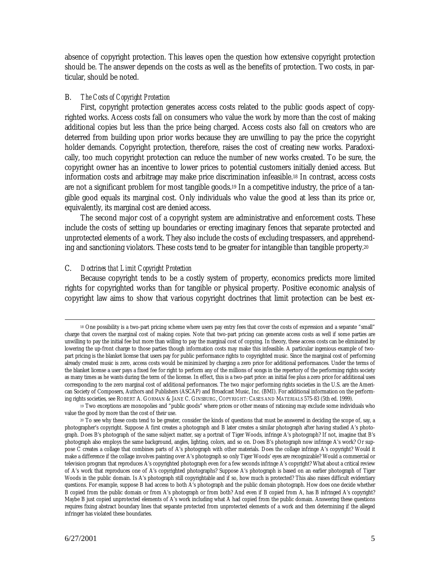absence of copyright protection. This leaves open the question how extensive copyright protection should be. The answer depends on the costs as well as the benefits of protection. Two costs, in particular, should be noted.

#### B. *The Costs of Copyright Protection*

First, copyright protection generates access costs related to the public goods aspect of copyrighted works. Access costs fall on consumers who value the work by more than the cost of making additional copies but less than the price being charged. Access costs also fall on creators who are deterred from building upon prior works because they are unwilling to pay the price the copyright holder demands. Copyright protection, therefore, raises the cost of creating new works. Paradoxically, too much copyright protection can reduce the number of new works created. To be sure, the copyright owner has an incentive to lower prices to potential customers initially denied access. But information costs and arbitrage may make price discrimination infeasible.18 In contrast, access costs are not a significant problem for most tangible goods.19 In a competitive industry, the price of a tangible good equals its marginal cost. Only individuals who value the good at less than its price or, equivalently, its marginal cost are denied access.

The second major cost of a copyright system are administrative and enforcement costs. These include the costs of setting up boundaries or erecting imaginary fences that separate protected and unprotected elements of a work. They also include the costs of excluding trespassers, and apprehending and sanctioning violators. These costs tend to be greater for intangible than tangible property.20

#### C. *Doctrines that Limit Copyright Protection*

Because copyright tends to be a costly system of property, economics predicts more limited rights for copyrighted works than for tangible or physical property. Positive economic analysis of copyright law aims to show that various copyright doctrines that limit protection can be best ex-

<sup>18</sup> One possibility is a two-part pricing scheme where users pay entry fees that cover the costs of expression and a separate "small" charge that covers the marginal cost of making copies. Note that two-part pricing can generate access costs as well if some parties are unwilling to pay the initial fee but more than willing to pay the marginal cost of copying. In theory, these access costs can be eliminated by lowering the up-front charge to those parties though information costs may make this infeasible. A particular ingenious example of twopart pricing is the blanket license that users pay for public performance rights to copyrighted music. Since the marginal cost of performing already created music is zero, access costs would be minimized by charging a zero price for additional performances. Under the terms of the blanket license a user pays a fixed fee for right to perform any of the millions of songs in the repertory of the performing rights society as many times as he wants during the term of the license. In effect, this is a two-part price: an initial fee plus a zero price for additional uses corresponding to the zero marginal cost of additional performances. The two major performing rights societies in the U.S. are the American Society of Composers, Authors and Publishers (ASCAP) and Broadcast Music, Inc. (BMI). For additional information on the performing rights societies, see ROBERT A. GORMAN & JANE C. GINSBURG, COPYRIGHT: CASES AND MATERIALS 575-83 (5th ed. 1999).

<sup>19</sup> Two exceptions are monopolies and "public goods" where prices or other means of rationing may exclude some individuals who value the good by more than the cost of their use.

<sup>20</sup> To see why these costs tend to be greater, consider the kinds of questions that must be answered in deciding the scope of, say, a photographer's copyright. Suppose A first creates a photograph and B later creates a similar photograph after having studied A's photograph. Does B's photograph of the same subject matter, say a portrait of Tiger Woods, infringe A's photograph? If not, imagine that B's photograph also employs the same background, angles, lighting, colors, and so on. Does B's photograph now infringe A's work? Or suppose C creates a collage that combines parts of A's photograph with other materials. Does the collage infringe A's copyright? Would it make a difference if the collage involves painting over A's photograph so only Tiger Woods' eyes are recognizable? Would a commercial or television program that reproduces A's copyrighted photograph even for a few seconds infringe A's copyright? What about a critical review of A's work that reproduces one of A's copyrighted photographs? Suppose A's photograph is based on an earlier photograph of Tiger Woods in the public domain. Is A's photograph still copyrightable and if so, how much is protected? This also raises difficult evidentiary questions. For example, suppose B had access to both A's photograph and the public domain photograph. How does one decide whether B copied from the public domain or from A's photograph or from both? And even if B copied from A, has B infringed A's copyright? Maybe B just copied unprotected elements of A's work including what A had copied from the public domain. Answering these questions requires fixing abstract boundary lines that separate protected from unprotected elements of a work and then determining if the alleged infringer has violated these boundaries.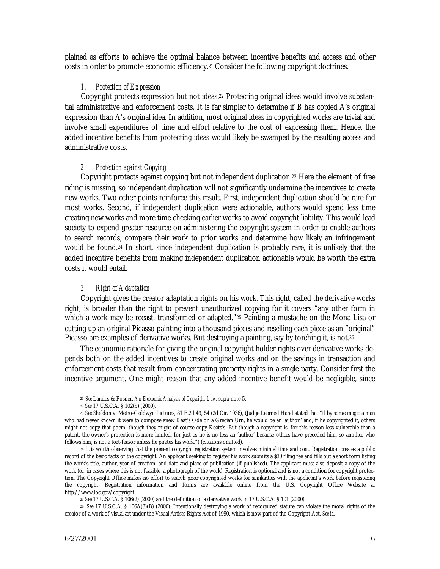plained as efforts to achieve the optimal balance between incentive benefits and access and other costs in order to promote economic efficiency.21 Consider the following copyright doctrines.

#### *1. Protection of Expression*

 Copyright protects expression but not ideas.22 Protecting original ideas would involve substantial administrative and enforcement costs. It is far simpler to determine if B has copied A's original expression than A's original idea. In addition, most original ideas in copyrighted works are trivial and involve small expenditures of time and effort relative to the cost of expressing them. Hence, the added incentive benefits from protecting ideas would likely be swamped by the resulting access and administrative costs.

#### *2. Protection against Copying*

Copyright protects against copying but not independent duplication.23 Here the element of free riding is missing, so independent duplication will not significantly undermine the incentives to create new works. Two other points reinforce this result. First, independent duplication should be rare for most works. Second, if independent duplication were actionable, authors would spend less time creating new works and more time checking earlier works to avoid copyright liability. This would lead society to expend greater resource on administering the copyright system in order to enable authors to search records, compare their work to prior works and determine how likely an infringement would be found.24 In short, since independent duplication is probably rare, it is unlikely that the added incentive benefits from making independent duplication actionable would be worth the extra costs it would entail.

#### *3. Right of Adaptation*

Copyright gives the creator adaptation rights on his work. This right, called the derivative works right, is broader than the right to prevent unauthorized copying for it covers "any other form in which a work may be recast, transformed or adapted."25 Painting a mustache on the Mona Lisa or cutting up an original Picasso painting into a thousand pieces and reselling each piece as an "original" Picasso are examples of derivative works. But destroying a painting, say by torching it, is not.26

The economic rationale for giving the original copyright holder rights over derivative works depends both on the added incentives to create original works and on the savings in transaction and enforcement costs that result from concentrating property rights in a single party. Consider first the incentive argument. One might reason that any added incentive benefit would be negligible, since

<sup>21</sup> *See* Landes & Posner, *An Economic Analysis of Copyright Law*, *supra* note 5.

<sup>22</sup> *See* 17 U.S.C.A. § 102(b) (2000).

<sup>23</sup> *See* Sheldon v. Metro-Goldwyn Pictures, 81 F.2d 49, 54 (2d Cir. 1936), (Judge Learned Hand stated that "if by some magic a man who had never known it were to compose anew Keat's Ode on a Grecian Urn, he would be an 'author,' and, if he copyrighted it, others might not copy that poem, though they might of course copy Keats's. But though a copyright is, for this reason less vulnerable than a patent, the owner's protection is more limited, for just as he is no less an 'author' because others have preceded him, so another who follows him, is not a tort-feasor unless he pirates his work.") (citations omitted).

<sup>24</sup> It is worth observing that the present copyright registration system involves minimal time and cost. Registration creates a public record of the basic facts of the copyright. An applicant seeking to register his work submits a \$30 filing fee and fills out a short form listing the work's title, author, year of creation, and date and place of publication (if published). The applicant must also deposit a copy of the work (or, in cases where this is not feasible, a photograph of the work). Registration is optional and is not a condition for copyright protection. The Copyright Office makes no effort to search prior copyrighted works for similarities with the applicant's work before registering the copyright. Registration information and forms are available online from the U.S. Copyright Office Website at http://www.loc.gov/copyright.

<sup>25</sup> *See* 17 U.S.C.A. § 106(2) (2000) and the definition of a derivative work in 17 U.S.C.A. § 101 (2000).

<sup>26</sup> *See* 17 U.S.C.A. § 106A(3)(B) (2000). Intentionally destroying a work of recognized stature can violate the moral rights of the creator of a work of visual art under the Visual Artists Rights Act of 1990, which is now part of the Copyright Act. *See id*.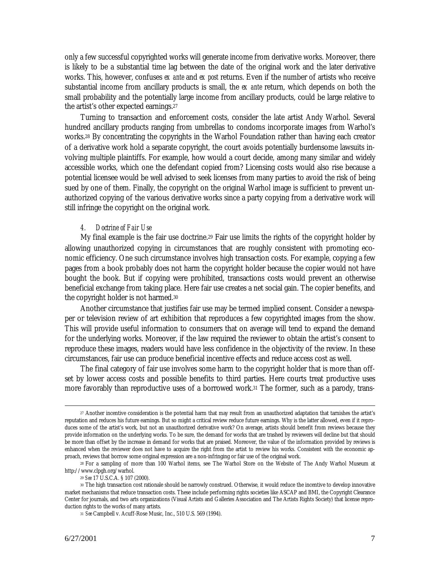only a few successful copyrighted works will generate income from derivative works. Moreover, there is likely to be a substantial time lag between the date of the original work and the later derivative works. This, however, confuses *ex ante* and *ex post* returns. Even if the number of artists who receive substantial income from ancillary products is small, the *ex ante* return, which depends on both the small probability and the potentially large income from ancillary products, could be large relative to the artist's other expected earnings.27

Turning to transaction and enforcement costs, consider the late artist Andy Warhol. Several hundred ancillary products ranging from umbrellas to condoms incorporate images from Warhol's works.28 By concentrating the copyrights in the Warhol Foundation rather than having each creator of a derivative work hold a separate copyright, the court avoids potentially burdensome lawsuits involving multiple plaintiffs. For example, how would a court decide, among many similar and widely accessible works, which one the defendant copied from? Licensing costs would also rise because a potential licensee would be well advised to seek licenses from many parties to avoid the risk of being sued by one of them. Finally, the copyright on the original Warhol image is sufficient to prevent unauthorized copying of the various derivative works since a party copying from a derivative work will still infringe the copyright on the original work.

#### *4. Doctrine of Fair Use*

My final example is the fair use doctrine.29 Fair use limits the rights of the copyright holder by allowing unauthorized copying in circumstances that are roughly consistent with promoting economic efficiency. One such circumstance involves high transaction costs. For example, copying a few pages from a book probably does not harm the copyright holder because the copier would not have bought the book. But if copying were prohibited, transactions costs would prevent an otherwise beneficial exchange from taking place. Here fair use creates a net social gain. The copier benefits, and the copyright holder is not harmed.30

Another circumstance that justifies fair use may be termed implied consent. Consider a newspaper or television review of art exhibition that reproduces a few copyrighted images from the show. This will provide useful information to consumers that on average will tend to expand the demand for the underlying works. Moreover, if the law required the reviewer to obtain the artist's consent to reproduce these images, readers would have less confidence in the objectivity of the review. In these circumstances, fair use can produce beneficial incentive effects and reduce access cost as well.

The final category of fair use involves some harm to the copyright holder that is more than offset by lower access costs and possible benefits to third parties. Here courts treat productive uses more favorably than reproductive uses of a borrowed work.31 The former, such as a parody, trans-

<sup>27</sup> Another incentive consideration is the potential harm that may result from an unauthorized adaptation that tarnishes the artist's reputation and reduces his future earnings. But so might a critical review reduce future earnings. Why is the latter allowed, even if it reproduces some of the artist's work, but not an unauthorized derivative work? On average, artists should benefit from reviews because they provide information on the underlying works. To be sure, the demand for works that are trashed by reviewers will decline but that should be more than offset by the increase in demand for works that are praised. Moreover, the value of the information provided by reviews is enhanced when the reviewer does not have to acquire the right from the artist to review his works. Consistent with the economic approach, reviews that borrow some original expression are a non-infringing or fair use of the original work.

<sup>28</sup> For a sampling of more than 100 Warhol items, see The Warhol Store on the Website of The Andy Warhol Museum at http://www.clpgh.org/warhol.

<sup>29</sup> *See* 17 U.S.C.A. § 107 (2000).

<sup>30</sup> The high transaction cost rationale should be narrowly construed. Otherwise, it would reduce the incentive to develop innovative market mechanisms that reduce transaction costs. These include performing rights societies like ASCAP and BMI, the Copyright Clearance Center for journals, and two arts organizations (Visual Artists and Galleries Association and The Artists Rights Society) that license reproduction rights to the works of many artists.

<sup>31</sup> *See* Campbell v. Acuff-Rose Music, Inc., 510 U.S. 569 (1994).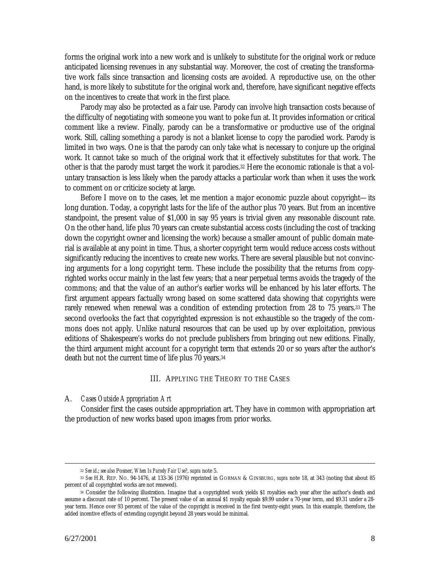forms the original work into a new work and is unlikely to substitute for the original work or reduce anticipated licensing revenues in any substantial way. Moreover, the cost of creating the transformative work falls since transaction and licensing costs are avoided. A reproductive use, on the other hand, is more likely to substitute for the original work and, therefore, have significant negative effects on the incentives to create that work in the first place.

Parody may also be protected as a fair use. Parody can involve high transaction costs because of the difficulty of negotiating with someone you want to poke fun at. It provides information or critical comment like a review. Finally, parody can be a transformative or productive use of the original work. Still, calling something a parody is not a blanket license to copy the parodied work. Parody is limited in two ways. One is that the parody can only take what is necessary to conjure up the original work. It cannot take so much of the original work that it effectively substitutes for that work. The other is that the parody must target the work it parodies.32 Here the economic rationale is that a voluntary transaction is less likely when the parody attacks a particular work than when it uses the work to comment on or criticize society at large.

Before I move on to the cases, let me mention a major economic puzzle about copyright—its long duration. Today, a copyright lasts for the life of the author plus 70 years. But from an incentive standpoint, the present value of \$1,000 in say 95 years is trivial given any reasonable discount rate. On the other hand, life plus 70 years can create substantial access costs (including the cost of tracking down the copyright owner and licensing the work) because a smaller amount of public domain material is available at any point in time. Thus, a shorter copyright term would reduce access costs without significantly reducing the incentives to create new works. There are several plausible but not convincing arguments for a long copyright term. These include the possibility that the returns from copyrighted works occur mainly in the last few years; that a near perpetual terms avoids the tragedy of the commons; and that the value of an author's earlier works will be enhanced by his later efforts. The first argument appears factually wrong based on some scattered data showing that copyrights were rarely renewed when renewal was a condition of extending protection from 28 to 75 years.<sup>33</sup> The second overlooks the fact that copyrighted expression is not exhaustible so the tragedy of the commons does not apply. Unlike natural resources that can be used up by over exploitation, previous editions of Shakespeare's works do not preclude publishers from bringing out new editions. Finally, the third argument might account for a copyright term that extends 20 or so years after the author's death but not the current time of life plus 70 years.34

#### III. APPLYING THE THEORY TO THE CASES

#### A. *Cases Outside Appropriation Art*

 Consider first the cases outside appropriation art. They have in common with appropriation art the production of new works based upon images from prior works.

<sup>32</sup> *See id*.; *see also* Posner, *When Is Parody Fair Use?*, *supra* note 5.

<sup>33</sup> *See* H.R. REP. NO. 94-1476, at 133-36 (1976) reprinted in GORMAN & GINSBURG, *supra* note 18, at 343 (noting that about 85 percent of all copyrighted works are not renewed).

<sup>34</sup> Consider the following illustration. Imagine that a copyrighted work yields \$1 royalties each year after the author's death and assume a discount rate of 10 percent. The present value of an annual \$1 royalty equals \$9.99 under a 70-year term, and \$9.31 under a 28 year term. Hence over 93 percent of the value of the copyright is received in the first twenty-eight years. In this example, therefore, the added incentive effects of extending copyright beyond 28 years would be minimal.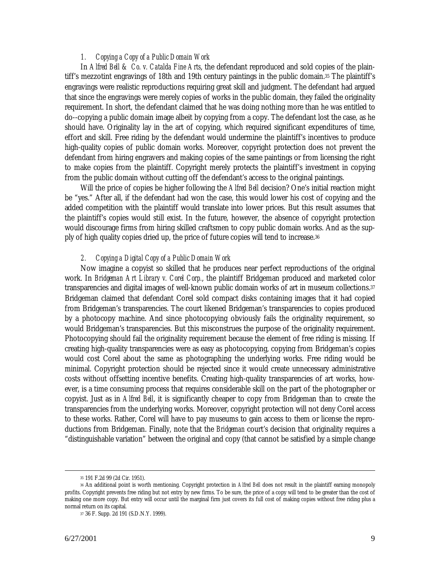#### *1. Copying a Copy of a Public Domain Work*

In *Alfred Bell & Co. v. Catalda Fine Arts*, the defendant reproduced and sold copies of the plaintiff's mezzotint engravings of 18th and 19th century paintings in the public domain.35 The plaintiff's engravings were realistic reproductions requiring great skill and judgment. The defendant had argued that since the engravings were merely copies of works in the public domain, they failed the originality requirement. In short, the defendant claimed that he was doing nothing more than he was entitled to do--copying a public domain image albeit by copying from a copy. The defendant lost the case, as he should have. Originality lay in the art of copying, which required significant expenditures of time, effort and skill. Free riding by the defendant would undermine the plaintiff's incentives to produce high-quality copies of public domain works. Moreover, copyright protection does not prevent the defendant from hiring engravers and making copies of the same paintings or from licensing the right to make copies from the plaintiff. Copyright merely protects the plaintiff's investment in copying from the public domain without cutting off the defendant's access to the original paintings.

Will the price of copies be higher following the *Alfred Bell* decision? One's initial reaction might be "yes." After all, if the defendant had won the case, this would lower his cost of copying and the added competition with the plaintiff would translate into lower prices. But this result assumes that the plaintiff's copies would still exist. In the future, however, the absence of copyright protection would discourage firms from hiring skilled craftsmen to copy public domain works. And as the supply of high quality copies dried up, the price of future copies will tend to increase.36

#### *2. Copying a Digital Copy of a Public Domain Work*

Now imagine a copyist so skilled that he produces near perfect reproductions of the original work. In *Bridgeman Art Library v. Corel Corp.*, the plaintiff Bridgeman produced and marketed color transparencies and digital images of well-known public domain works of art in museum collections.37 Bridgeman claimed that defendant Corel sold compact disks containing images that it had copied from Bridgeman's transparencies. The court likened Bridgeman's transparencies to copies produced by a photocopy machine. And since photocopying obviously fails the originality requirement, so would Bridgeman's transparencies. But this misconstrues the purpose of the originality requirement. Photocopying should fail the originality requirement because the element of free riding is missing. If creating high-quality transparencies were as easy as photocopying, copying from Bridgeman's copies would cost Corel about the same as photographing the underlying works. Free riding would be minimal. Copyright protection should be rejected since it would create unnecessary administrative costs without offsetting incentive benefits. Creating high-quality transparencies of art works, however, is a time consuming process that requires considerable skill on the part of the photographer or copyist. Just as in *Alfred Bell*, it is significantly cheaper to copy from Bridgeman than to create the transparencies from the underlying works. Moreover, copyright protection will not deny Corel access to these works. Rather, Corel will have to pay museums to gain access to them or license the reproductions from Bridgeman. Finally, note that the *Bridgeman* court's decision that originality requires a "distinguishable variation" between the original and copy (that cannot be satisfied by a simple change

<sup>35 191</sup> F.2d 99 (2d Cir. 1951).

<sup>36</sup> An additional point is worth mentioning. Copyright protection in *Alfred Bell* does not result in the plaintiff earning monopoly profits. Copyright prevents free riding but not entry by new firms. To be sure, the price of a copy will tend to be greater than the cost of making one more copy. But entry will occur until the marginal firm just covers its full cost of making copies without free riding plus a normal return on its capital.

<sup>37 36</sup> F. Supp. 2d 191 (S.D.N.Y. 1999).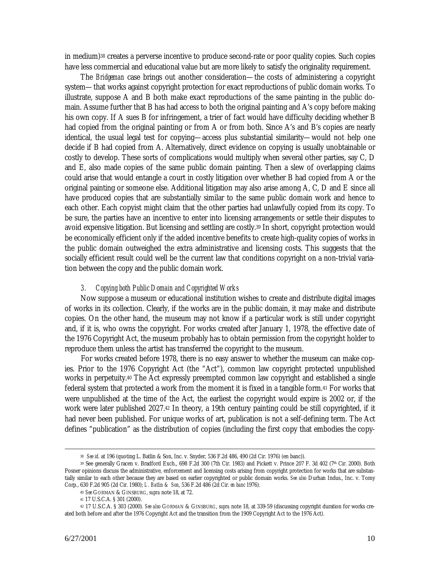in medium)38 creates a perverse incentive to produce second-rate or poor quality copies. Such copies have less commercial and educational value but are more likely to satisfy the originality requirement.

The *Bridgeman* case brings out another consideration—the costs of administering a copyright system—that works against copyright protection for exact reproductions of public domain works. To illustrate, suppose A and B both make exact reproductions of the same painting in the public domain. Assume further that B has had access to both the original painting and A's copy before making his own copy. If A sues B for infringement, a trier of fact would have difficulty deciding whether B had copied from the original painting or from A or from both. Since A's and B's copies are nearly identical, the usual legal test for copying—access plus substantial similarity—would not help one decide if B had copied from A. Alternatively, direct evidence on copying is usually unobtainable or costly to develop. These sorts of complications would multiply when several other parties, say C, D and E, also made copies of the same public domain painting. Then a slew of overlapping claims could arise that would entangle a court in costly litigation over whether B had copied from A or the original painting or someone else. Additional litigation may also arise among A, C, D and E since all have produced copies that are substantially similar to the same public domain work and hence to each other. Each copyist might claim that the other parties had unlawfully copied from its copy. To be sure, the parties have an incentive to enter into licensing arrangements or settle their disputes to avoid expensive litigation. But licensing and settling are costly.39 In short, copyright protection would be economically efficient only if the added incentive benefits to create high-quality copies of works in the public domain outweighed the extra administrative and licensing costs. This suggests that the socially efficient result could well be the current law that conditions copyright on a non-trivial variation between the copy and the public domain work.

#### *3. Copying both Public Domain and Copyrighted Works*

Now suppose a museum or educational institution wishes to create and distribute digital images of works in its collection. Clearly, if the works are in the public domain, it may make and distribute copies. On the other hand, the museum may not know if a particular work is still under copyright and, if it is, who owns the copyright. For works created after January 1, 1978, the effective date of the 1976 Copyright Act, the museum probably has to obtain permission from the copyright holder to reproduce them unless the artist has transferred the copyright to the museum.

For works created before 1978, there is no easy answer to whether the museum can make copies. Prior to the 1976 Copyright Act (the "Act"), common law copyright protected unpublished works in perpetuity.40 The Act expressly preempted common law copyright and established a single federal system that protected a work from the moment it is fixed in a tangible form.41 For works that were unpublished at the time of the Act, the earliest the copyright would expire is 2002 or, if the work were later published 2027.42 In theory, a 19th century painting could be still copyrighted, if it had never been published. For unique works of art, publication is not a self-defining term. The Act defines "publication" as the distribution of copies (including the first copy that embodies the copy-

<sup>38</sup> *See id.* at 196 (quoting L. Batlin & Son, Inc. v. Snyder, 536 F.2d 486, 490 (2d Cir. 1976) (en banc)).

<sup>39</sup> See generally Gracen v. Bradford Exch., 698 F.2d 300 (7th Cir. 1983) and Pickett v. Prince 207 F. 3d 402 (7th Cir. 2000). Both Posner opinions discuss the administrative, enforcement and licensing costs arising from copyright protection for works that are substantially similar to each other because they are based on earlier copyrighted or public domain works. *See also* Durhan Indus., Inc. v. Tomy Corp., 630 F.2d 905 (2d Cir. 1980); *L. Batlin & Son*, 536 F.2d 486 (2d Cir. *en banc* 1976).

<sup>40</sup> *See* GORMAN & GINSBURG, *supra* note 18, at 72.

<sup>41 17</sup> U.S.C.A. § 301 (2000).

<sup>42 17</sup> U.S.C.A. § 303 (2000). *See also* GORMAN & GINSBURG, *supra* note 18, at 339-59 (discussing copyright duration for works created both before and after the 1976 Copyright Act and the transition from the 1909 Copyright Act to the 1976 Act).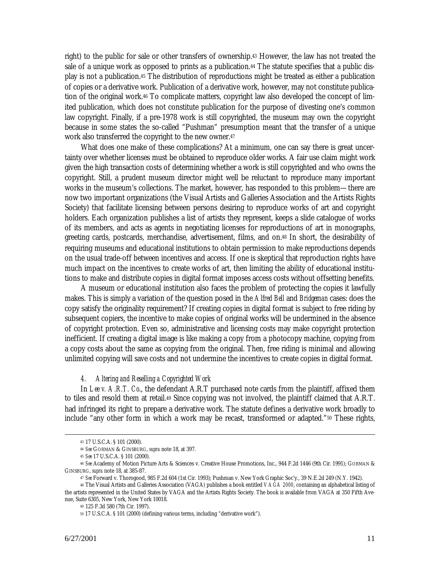right) to the public for sale or other transfers of ownership.43 However, the law has not treated the sale of a unique work as opposed to prints as a publication.44 The statute specifies that a public display is not a publication.45 The distribution of reproductions might be treated as either a publication of copies or a derivative work. Publication of a derivative work, however, may not constitute publication of the original work.46 To complicate matters, copyright law also developed the concept of limited publication, which does not constitute publication for the purpose of divesting one's common law copyright. Finally, if a pre-1978 work is still copyrighted, the museum may own the copyright because in some states the so-called "Pushman" presumption meant that the transfer of a unique work also transferred the copyright to the new owner.47

What does one make of these complications? At a minimum, one can say there is great uncertainty over whether licenses must be obtained to reproduce older works. A fair use claim might work given the high transaction costs of determining whether a work is still copyrighted and who owns the copyright. Still, a prudent museum director might well be reluctant to reproduce many important works in the museum's collections. The market, however, has responded to this problem—there are now two important organizations (the Visual Artists and Galleries Association and the Artists Rights Society) that facilitate licensing between persons desiring to reproduce works of art and copyright holders. Each organization publishes a list of artists they represent, keeps a slide catalogue of works of its members, and acts as agents in negotiating licenses for reproductions of art in monographs, greeting cards, postcards, merchandise, advertisement, films, and on.48 In short, the desirability of requiring museums and educational institutions to obtain permission to make reproductions depends on the usual trade-off between incentives and access. If one is skeptical that reproduction rights have much impact on the incentives to create works of art, then limiting the ability of educational institutions to make and distribute copies in digital format imposes access costs without offsetting benefits.

A museum or educational institution also faces the problem of protecting the copies it lawfully makes. This is simply a variation of the question posed in the *Alfred Bell* and *Bridgeman* cases: does the copy satisfy the originality requirement? If creating copies in digital format is subject to free riding by subsequent copiers, the incentive to make copies of original works will be undermined in the absence of copyright protection. Even so, administrative and licensing costs may make copyright protection inefficient. If creating a digital image is like making a copy from a photocopy machine, copying from a copy costs about the same as copying from the original. Then, free riding is minimal and allowing unlimited copying will save costs and not undermine the incentives to create copies in digital format.

#### *4. Altering and Reselling a Copyrighted Work*

In *Lee v. A.R.T. Co*., the defendant A.R.T purchased note cards from the plaintiff, affixed them to tiles and resold them at retail.49 Since copying was not involved, the plaintiff claimed that A.R.T. had infringed its right to prepare a derivative work. The statute defines a derivative work broadly to include "any other form in which a work may be recast, transformed or adapted."50 These rights,

48 The Visual Artists and Galleries Association (VAGA) publishes a book entitled *VAGA 2000*, containing an alphabetical listing of the artists represented in the United States by VAGA and the Artists Rights Society. The book is available from VAGA at 350 Fifth Avenue, Suite 6305, New York, New York 10018.

<sup>43 17</sup> U.S.C.A. § 101 (2000).

<sup>44</sup> *See* GORMAN & GINSBURG, *supra* note 18, at 397.

<sup>45</sup> *See* 17 U.S.C.A. § 101 (2000).

<sup>46</sup> *See* Academy of Motion Picture Arts & Sciences v. Creative House Promotions, Inc., 944 F.2d 1446 (9th Cir. 1991); GORMAN & GINSBURG, *supra* note 18, at 385-87.

<sup>47</sup> *See* Forward v. Thorogood, 985 F.2d 604 (1st Cir. 1993); Pushman v. New York Graphic Soc'y., 39 N.E.2d 249 (N.Y. 1942).

<sup>49 125</sup> F.3d 580 (7th Cir. 1997).

<sup>50 17</sup> U.S.C.A. § 101 (2000) (defining various terms, including "derivative work").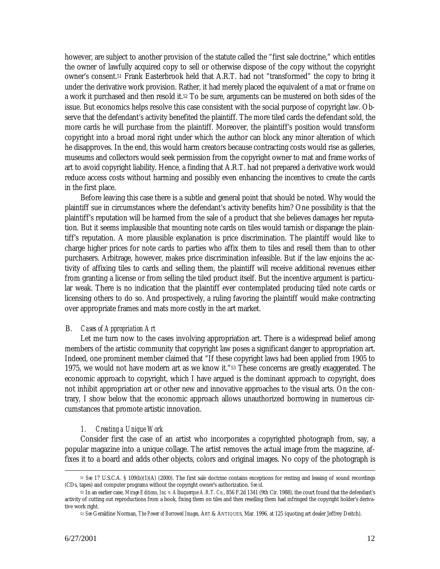however, are subject to another provision of the statute called the "first sale doctrine," which entitles the owner of lawfully acquired copy to sell or otherwise dispose of the copy without the copyright owner's consent.51 Frank Easterbrook held that A.R.T. had not "transformed" the copy to bring it under the derivative work provision. Rather, it had merely placed the equivalent of a mat or frame on a work it purchased and then resold it.52 To be sure, arguments can be mustered on both sides of the issue. But economics helps resolve this case consistent with the social purpose of copyright law. Observe that the defendant's activity benefited the plaintiff. The more tiled cards the defendant sold, the more cards he will purchase from the plaintiff. Moreover, the plaintiff's position would transform copyright into a broad moral right under which the author can block any minor alteration of which he disapproves. In the end, this would harm creators because contracting costs would rise as galleries, museums and collectors would seek permission from the copyright owner to mat and frame works of art to avoid copyright liability. Hence, a finding that A.R.T. had not prepared a derivative work would reduce access costs without harming and possibly even enhancing the incentives to create the cards in the first place.

Before leaving this case there is a subtle and general point that should be noted. Why would the plaintiff sue in circumstances where the defendant's activity benefits him? One possibility is that the plaintiff's reputation will be harmed from the sale of a product that she believes damages her reputation. But it seems implausible that mounting note cards on tiles would tarnish or disparage the plaintiff's reputation. A more plausible explanation is price discrimination. The plaintiff would like to charge higher prices for note cards to parties who affix them to tiles and resell them than to other purchasers. Arbitrage, however, makes price discrimination infeasible. But if the law enjoins the activity of affixing tiles to cards and selling them, the plaintiff will receive additional revenues either from granting a license or from selling the tiled product itself. But the incentive argument is particular weak. There is no indication that the plaintiff ever contemplated producing tiled note cards or licensing others to do so. And prospectively, a ruling favoring the plaintiff would make contracting over appropriate frames and mats more costly in the art market.

#### B. *Cases of Appropriation Art*

Let me turn now to the cases involving appropriation art. There is a widespread belief among members of the artistic community that copyright law poses a significant danger to appropriation art. Indeed, one prominent member claimed that "If these copyright laws had been applied from 1905 to 1975, we would not have modern art as we know it."53 These concerns are greatly exaggerated. The economic approach to copyright, which I have argued is the dominant approach to copyright, does not inhibit appropriation art or other new and innovative approaches to the visual arts. On the contrary, I show below that the economic approach allows unauthorized borrowing in numerous circumstances that promote artistic innovation.

#### *1. Creating a Unique Work*

Consider first the case of an artist who incorporates a copyrighted photograph from, say, a popular magazine into a unique collage. The artist removes the actual image from the magazine, affixes it to a board and adds other objects, colors and original images. No copy of the photograph is

<sup>51</sup> *See* 17 U.S.C.A. § 109(b)(1)(A) (2000). The first sale doctrine contains exceptions for renting and leasing of sound recordings (CDs, tapes) and computer programs without the copyright owner's authorization. *See id*.

<sup>52</sup> In an earlier case, *Mirage Editions, Inc. v. Albuquerque A.R.T. Co.*, 856 F.2d 1341 (9th Cir. 1988), the court found that the defendant's activity of cutting out reproductions from a book, fixing them on tiles and then reselling them had infringed the copyright holder's derivative work right.

<sup>53</sup> *See* Geraldine Norman, *The Power of Borrowed Images*, ART & ANTIQUES, Mar. 1996, at 125 (quoting art dealer Jeffrey Deitch).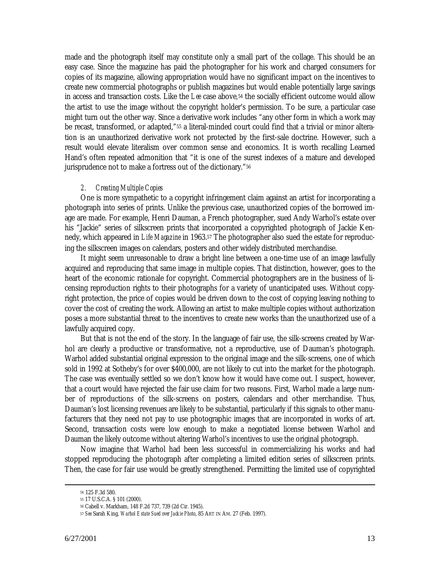made and the photograph itself may constitute only a small part of the collage. This should be an easy case. Since the magazine has paid the photographer for his work and charged consumers for copies of its magazine, allowing appropriation would have no significant impact on the incentives to create new commercial photographs or publish magazines but would enable potentially large savings in access and transaction costs. Like the *Lee* case above*,*54 the socially efficient outcome would allow the artist to use the image without the copyright holder's permission. To be sure, a particular case might turn out the other way. Since a derivative work includes "any other form in which a work may be recast, transformed, or adapted,"55 a literal-minded court could find that a trivial or minor alteration is an unauthorized derivative work not protected by the first-sale doctrine. However, such a result would elevate literalism over common sense and economics. It is worth recalling Learned Hand's often repeated admonition that "it is one of the surest indexes of a mature and developed jurisprudence not to make a fortress out of the dictionary."56

#### *2. Creating Multiple Copies*

One is more sympathetic to a copyright infringement claim against an artist for incorporating a photograph into series of prints. Unlike the previous case, unauthorized copies of the borrowed image are made. For example, Henri Dauman, a French photographer, sued Andy Warhol's estate over his "Jackie" series of silkscreen prints that incorporated a copyrighted photograph of Jackie Kennedy, which appeared in *Life Magazine* in 1963.57 The photographer also sued the estate for reproducing the silkscreen images on calendars, posters and other widely distributed merchandise.

It might seem unreasonable to draw a bright line between a one-time use of an image lawfully acquired and reproducing that same image in multiple copies. That distinction, however, goes to the heart of the economic rationale for copyright. Commercial photographers are in the business of licensing reproduction rights to their photographs for a variety of unanticipated uses. Without copyright protection, the price of copies would be driven down to the cost of copying leaving nothing to cover the cost of creating the work. Allowing an artist to make multiple copies without authorization poses a more substantial threat to the incentives to create new works than the unauthorized use of a lawfully acquired copy.

But that is not the end of the story. In the language of fair use, the silk-screens created by Warhol are clearly a productive or transformative, not a reproductive, use of Dauman's photograph. Warhol added substantial original expression to the original image and the silk-screens, one of which sold in 1992 at Sotheby's for over \$400,000, are not likely to cut into the market for the photograph. The case was eventually settled so we don't know how it would have come out. I suspect, however, that a court would have rejected the fair use claim for two reasons. First, Warhol made a large number of reproductions of the silk-screens on posters, calendars and other merchandise. Thus, Dauman's lost licensing revenues are likely to be substantial, particularly if this signals to other manufacturers that they need not pay to use photographic images that are incorporated in works of art. Second, transaction costs were low enough to make a negotiated license between Warhol and Dauman the likely outcome without altering Warhol's incentives to use the original photograph.

Now imagine that Warhol had been less successful in commercializing his works and had stopped reproducing the photograph after completing a limited edition series of silkscreen prints. Then, the case for fair use would be greatly strengthened. Permitting the limited use of copyrighted

<sup>54 125</sup> F.3d 580.

<sup>55 17</sup> U.S.C.A. § 101 (2000).

<sup>56</sup> Cabell v. Markham, 148 F.2d 737, 739 (2d Cir. 1945).

<sup>57</sup> *See* Sarah King, *Warhol Estate Sued over Jackie Photo*, 85 ART IN AM. 27 (Feb. 1997).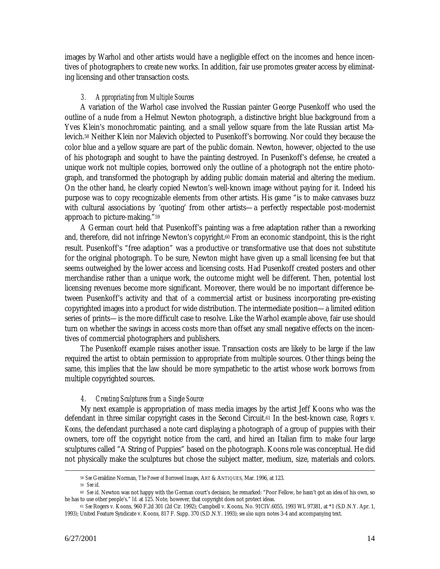images by Warhol and other artists would have a negligible effect on the incomes and hence incentives of photographers to create new works. In addition, fair use promotes greater access by eliminating licensing and other transaction costs.

#### *3. Appropriating from Multiple Sources*

A variation of the Warhol case involved the Russian painter George Pusenkoff who used the outline of a nude from a Helmut Newton photograph, a distinctive bright blue background from a Yves Klein's monochromatic painting, and a small yellow square from the late Russian artist Malevich.58 Neither Klein nor Malevich objected to Pusenkoff's borrowing. Nor could they because the color blue and a yellow square are part of the public domain. Newton, however, objected to the use of his photograph and sought to have the painting destroyed. In Pusenkoff's defense, he created a unique work not multiple copies, borrowed only the outline of a photograph not the entire photograph, and transformed the photograph by adding public domain material and altering the medium. On the other hand, he clearly copied Newton's well-known image without paying for it. Indeed his purpose was to copy recognizable elements from other artists. His game "is to make canvases buzz with cultural associations by 'quoting' from other artists—a perfectly respectable post-modernist approach to picture-making."59

A German court held that Pusenkoff's painting was a free adaptation rather than a reworking and, therefore, did not infringe Newton's copyright.60 From an economic standpoint, this is the right result. Pusenkoff's "free adaption" was a productive or transformative use that does not substitute for the original photograph. To be sure, Newton might have given up a small licensing fee but that seems outweighed by the lower access and licensing costs. Had Pusenkoff created posters and other merchandise rather than a unique work, the outcome might well be different. Then, potential lost licensing revenues become more significant. Moreover, there would be no important difference between Pusenkoff's activity and that of a commercial artist or business incorporating pre-existing copyrighted images into a product for wide distribution. The intermediate position—a limited edition series of prints—is the more difficult case to resolve. Like the Warhol example above, fair use should turn on whether the savings in access costs more than offset any small negative effects on the incentives of commercial photographers and publishers.

The Pusenkoff example raises another issue. Transaction costs are likely to be large if the law required the artist to obtain permission to appropriate from multiple sources. Other things being the same, this implies that the law should be more sympathetic to the artist whose work borrows from multiple copyrighted sources.

#### *4. Creating Sculptures from a Single Source*

My next example is appropriation of mass media images by the artist Jeff Koons who was the defendant in three similar copyright cases in the Second Circuit.61 In the best-known case, *Rogers v. Koons*, the defendant purchased a note card displaying a photograph of a group of puppies with their owners, tore off the copyright notice from the card, and hired an Italian firm to make four large sculptures called "A String of Puppies" based on the photograph. Koons role was conceptual. He did not physically make the sculptures but chose the subject matter, medium, size, materials and colors.

<sup>58</sup> *See* Geraldine Norman, *The Power of Borrowed Images*, ART & ANTIQUES, Mar. 1996, at 123.

<sup>59</sup> *See id*.

<sup>&</sup>lt;sup>60</sup> *See id.* Newton was not happy with the German court's decision; he remarked: "Poor Fellow, he hasn't got an idea of his own, so he has to use other people's." *Id.* at 125. Note, however, that copyright does not protect ideas.

<sup>61</sup> *See* Rogers v. Koons, 960 F.2d 301 (2d Cir. 1992); Campbell v. Koons, No. 91CIV.6055, 1993 WL 97381, at \*1 (S.D.N.Y. Apr. 1, 1993); United Feature Syndicate v. Koons, 817 F. Supp. 370 (S.D.N.Y. 1993); *see also supra* notes 3-4 and accompanying text.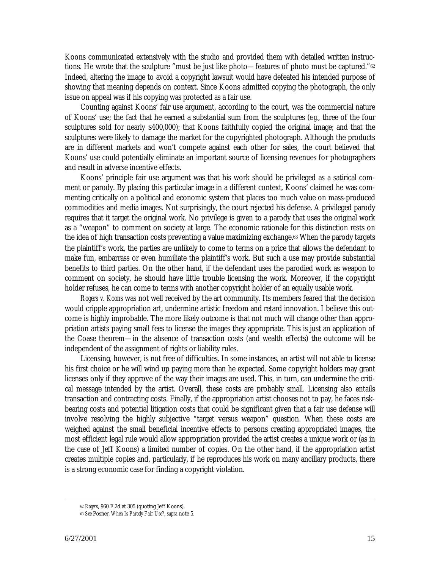Koons communicated extensively with the studio and provided them with detailed written instructions. He wrote that the sculpture "must be just like photo—features of photo must be captured."62 Indeed, altering the image to avoid a copyright lawsuit would have defeated his intended purpose of showing that meaning depends on context. Since Koons admitted copying the photograph, the only issue on appeal was if his copying was protected as a fair use.

Counting against Koons' fair use argument, according to the court, was the commercial nature of Koons' use; the fact that he earned a substantial sum from the sculptures (*e.g.*, three of the four sculptures sold for nearly \$400,000); that Koons faithfully copied the original image; and that the sculptures were likely to damage the market for the copyrighted photograph. Although the products are in different markets and won't compete against each other for sales, the court believed that Koons' use could potentially eliminate an important source of licensing revenues for photographers and result in adverse incentive effects.

Koons' principle fair use argument was that his work should be privileged as a satirical comment or parody. By placing this particular image in a different context, Koons' claimed he was commenting critically on a political and economic system that places too much value on mass-produced commodities and media images. Not surprisingly, the court rejected his defense. A privileged parody requires that it target the original work. No privilege is given to a parody that uses the original work as a "weapon" to comment on society at large. The economic rationale for this distinction rests on the idea of high transaction costs preventing a value maximizing exchange.63 When the parody targets the plaintiff's work, the parties are unlikely to come to terms on a price that allows the defendant to make fun, embarrass or even humiliate the plaintiff's work. But such a use may provide substantial benefits to third parties. On the other hand, if the defendant uses the parodied work as weapon to comment on society, he should have little trouble licensing the work. Moreover, if the copyright holder refuses, he can come to terms with another copyright holder of an equally usable work.

*Rogers v. Koons* was not well received by the art community. Its members feared that the decision would cripple appropriation art, undermine artistic freedom and retard innovation. I believe this outcome is highly improbable. The more likely outcome is that not much will change other than appropriation artists paying small fees to license the images they appropriate. This is just an application of the Coase theorem—in the absence of transaction costs (and wealth effects) the outcome will be independent of the assignment of rights or liability rules.

Licensing, however, is not free of difficulties. In some instances, an artist will not able to license his first choice or he will wind up paying more than he expected. Some copyright holders may grant licenses only if they approve of the way their images are used. This, in turn, can undermine the critical message intended by the artist. Overall, these costs are probably small. Licensing also entails transaction and contracting costs. Finally, if the appropriation artist chooses not to pay, he faces riskbearing costs and potential litigation costs that could be significant given that a fair use defense will involve resolving the highly subjective "target versus weapon" question. When these costs are weighed against the small beneficial incentive effects to persons creating appropriated images, the most efficient legal rule would allow appropriation provided the artist creates a unique work or (as in the case of Jeff Koons) a limited number of copies. On the other hand, if the appropriation artist creates multiple copies and, particularly, if he reproduces his work on many ancillary products, there is a strong economic case for finding a copyright violation.

 $\overline{\phantom{a}}$ 

<sup>62</sup> *Rogers*, 960 F.2d at 305 (quoting Jeff Koons).

<sup>63</sup> *See* Posner, *When Is Parody Fair Use?*, *supra* note 5.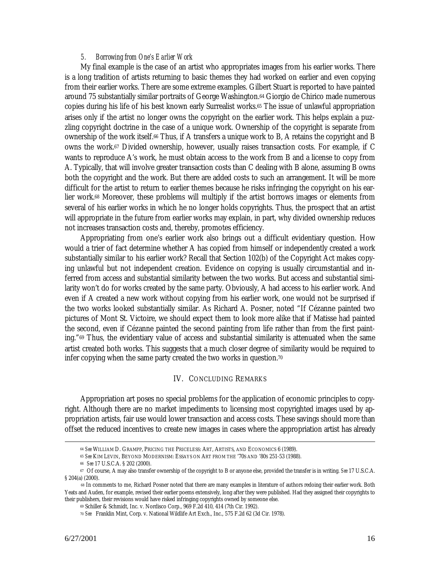#### *5. Borrowing from One's Earlier Work*

My final example is the case of an artist who appropriates images from his earlier works. There is a long tradition of artists returning to basic themes they had worked on earlier and even copying from their earlier works. There are some extreme examples. Gilbert Stuart is reported to have painted around 75 substantially similar portraits of George Washington.64 Giorgio de Chirico made numerous copies during his life of his best known early Surrealist works.65 The issue of unlawful appropriation arises only if the artist no longer owns the copyright on the earlier work. This helps explain a puzzling copyright doctrine in the case of a unique work. Ownership of the copyright is separate from ownership of the work itself.66 Thus, if A transfers a unique work to B, A retains the copyright and B owns the work.67 Divided ownership, however, usually raises transaction costs. For example, if C wants to reproduce A's work, he must obtain access to the work from B and a license to copy from A. Typically, that will involve greater transaction costs than C dealing with B alone, assuming B owns both the copyright and the work. But there are added costs to such an arrangement. It will be more difficult for the artist to return to earlier themes because he risks infringing the copyright on his earlier work.68 Moreover, these problems will multiply if the artist borrows images or elements from several of his earlier works in which he no longer holds copyrights. Thus, the prospect that an artist will appropriate in the future from earlier works may explain, in part, why divided ownership reduces not increases transaction costs and, thereby, promotes efficiency.

Appropriating from one's earlier work also brings out a difficult evidentiary question. How would a trier of fact determine whether A has copied from himself or independently created a work substantially similar to his earlier work? Recall that Section 102(b) of the Copyright Act makes copying unlawful but not independent creation. Evidence on copying is usually circumstantial and inferred from access and substantial similarity between the two works. But access and substantial similarity won't do for works created by the same party. Obviously, A had access to his earlier work. And even if A created a new work without copying from his earlier work, one would not be surprised if the two works looked substantially similar. As Richard A. Posner, noted "If Cézanne painted two pictures of Mont St. Victoire, we should expect them to look more alike that if Matisse had painted the second, even if Cézanne painted the second painting from life rather than from the first painting."69 Thus, the evidentiary value of access and substantial similarity is attenuated when the same artist created both works. This suggests that a much closer degree of similarity would be required to infer copying when the same party created the two works in question.70

#### IV. CONCLUDING REMARKS

Appropriation art poses no special problems for the application of economic principles to copyright. Although there are no market impediments to licensing most copyrighted images used by appropriation artists, fair use would lower transaction and access costs. These savings should more than offset the reduced incentives to create new images in cases where the appropriation artist has already

<sup>64</sup> *See* WILLIAM D. GRAMPP, PRICING THE PRICELESS: ART, ARTISTS, AND ECONOMICS 6 (1989).

<sup>65</sup> *See* KIM LEVIN, BEYOND MODERNISM: ESSAYS ON ART FROM THE '70S AND '80S 251-53 (1988).

<sup>66</sup> *See* 17 U.S.C.A. § 202 (2000).

<sup>67</sup> Of course, A may also transfer ownership of the copyright to B or anyone else, provided the transfer is in writing. *See* 17 U.S.C.A. § 204(a) (2000).

<sup>68</sup> In comments to me, Richard Posner noted that there are many examples in literature of authors redoing their earlier work. Both Yeats and Auden, for example, revised their earlier poems extensively, long after they were published. Had they assigned their copyrights to their publishers, their revisions would have risked infringing copyrights owned by someone else.

<sup>69</sup> Schiller & Schmidt, Inc. v. Nordisco Corp., 969 F.2d 410, 414 (7th Cir. 1992).

<sup>70</sup> *See* Franklin Mint, Corp. v. National Wildlife Art Exch., Inc., 575 F.2d 62 (3d Cir. 1978).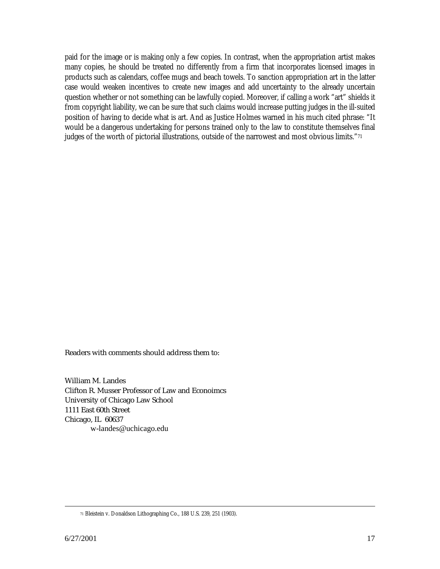paid for the image or is making only a few copies. In contrast, when the appropriation artist makes many copies, he should be treated no differently from a firm that incorporates licensed images in products such as calendars, coffee mugs and beach towels. To sanction appropriation art in the latter case would weaken incentives to create new images and add uncertainty to the already uncertain question whether or not something can be lawfully copied. Moreover, if calling a work "art" shields it from copyright liability, we can be sure that such claims would increase putting judges in the ill-suited position of having to decide what is art. And as Justice Holmes warned in his much cited phrase: "It would be a dangerous undertaking for persons trained only to the law to constitute themselves final judges of the worth of pictorial illustrations, outside of the narrowest and most obvious limits."71

Readers with comments should address them to:

William M. Landes Clifton R. Musser Professor of Law and Econoimcs University of Chicago Law School 1111 East 60th Street Chicago, IL 60637 w-landes@uchicago.edu

<sup>71</sup> Bleistein v. Donaldson Lithographing Co., 188 U.S. 239, 251 (1903).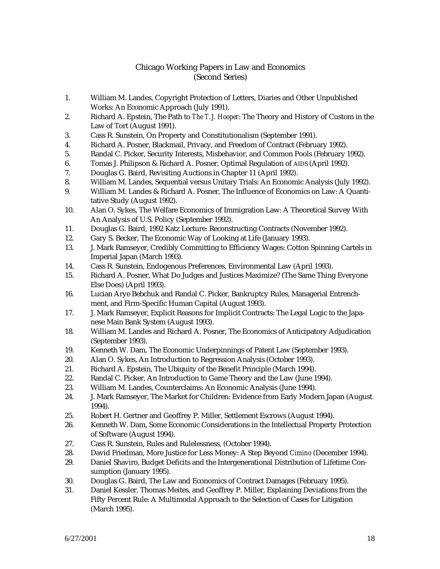#### Chicago Working Papers in Law and Economics (Second Series)

- 1. William M. Landes, Copyright Protection of Letters, Diaries and Other Unpublished Works: An Economic Approach (July 1991).
- 2. Richard A. Epstein, The Path to *The T. J. Hooper*: The Theory and History of Custom in the Law of Tort (August 1991).
- 3. Cass R. Sunstein, On Property and Constitutionalism (September 1991).
- 4. Richard A. Posner, Blackmail, Privacy, and Freedom of Contract (February 1992).
- 5. Randal C. Picker, Security Interests, Misbehavior, and Common Pools (February 1992).
- 6. Tomas J. Philipson & Richard A. Posner, Optimal Regulation of AIDS (April 1992).
- 7. Douglas G. Baird, Revisiting Auctions in Chapter 11 (April 1992).
- 8. William M. Landes, Sequential versus Unitary Trials: An Economic Analysis (July 1992).
- 9. William M. Landes & Richard A. Posner, The Influence of Economics on Law: A Quantitative Study (August 1992).
- 10. Alan O. Sykes, The Welfare Economics of Immigration Law: A Theoretical Survey With An Analysis of U.S. Policy (September 1992).
- 11. Douglas G. Baird, 1992 Katz Lecture: Reconstructing Contracts (November 1992).
- 12. Gary S. Becker, The Economic Way of Looking at Life (January 1993).
- 13. J. Mark Ramseyer, Credibly Committing to Efficiency Wages: Cotton Spinning Cartels in Imperial Japan (March 1993).
- 14. Cass R. Sunstein, Endogenous Preferences, Environmental Law (April 1993).
- 15. Richard A. Posner, What Do Judges and Justices Maximize? (The Same Thing Everyone Else Does) (April 1993).
- 16. Lucian Arye Bebchuk and Randal C. Picker, Bankruptcy Rules, Managerial Entrenchment, and Firm-Specific Human Capital (August 1993).
- 17. J. Mark Ramseyer, Explicit Reasons for Implicit Contracts: The Legal Logic to the Japanese Main Bank System (August 1993).
- 18. William M. Landes and Richard A. Posner, The Economics of Anticipatory Adjudication (September 1993).
- 19. Kenneth W. Dam, The Economic Underpinnings of Patent Law (September 1993).
- 20. Alan O. Sykes, An Introduction to Regression Analysis (October 1993).
- 21. Richard A. Epstein, The Ubiquity of the Benefit Principle (March 1994).
- 22. Randal C. Picker, An Introduction to Game Theory and the Law (June 1994).
- 23. William M. Landes, Counterclaims: An Economic Analysis (June 1994).
- 24. J. Mark Ramseyer, The Market for Children: Evidence from Early Modern Japan (August 1994).
- 25. Robert H. Gertner and Geoffrey P. Miller, Settlement Escrows (August 1994).
- 26. Kenneth W. Dam, Some Economic Considerations in the Intellectual Property Protection of Software (August 1994).
- 27. Cass R. Sunstein, Rules and Rulelessness, (October 1994).
- 28. David Friedman, More Justice for Less Money: A Step Beyond *Cimino* (December 1994).
- 29. Daniel Shaviro, Budget Deficits and the Intergenerational Distribution of Lifetime Consumption (January 1995).
- 30. Douglas G. Baird, The Law and Economics of Contract Damages (February 1995).
- 31. Daniel Kessler, Thomas Meites, and Geoffrey P. Miller, Explaining Deviations from the Fifty Percent Rule: A Multimodal Approach to the Selection of Cases for Litigation (March 1995).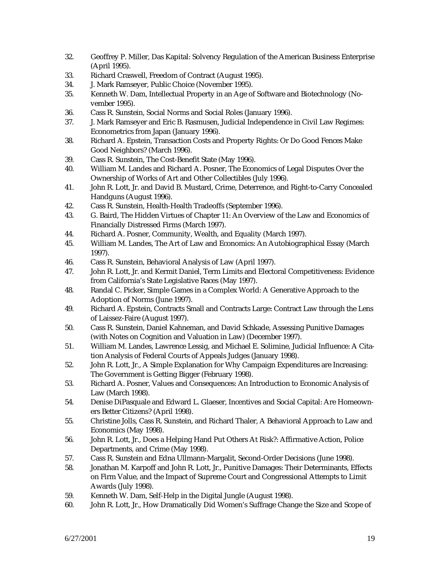- 32. Geoffrey P. Miller, Das Kapital: Solvency Regulation of the American Business Enterprise (April 1995).
- 33. Richard Craswell, Freedom of Contract (August 1995).
- 34. J. Mark Ramseyer, Public Choice (November 1995).
- 35. Kenneth W. Dam, Intellectual Property in an Age of Software and Biotechnology (November 1995).
- 36. Cass R. Sunstein, Social Norms and Social Roles (January 1996).
- 37. J. Mark Ramseyer and Eric B. Rasmusen, Judicial Independence in Civil Law Regimes: Econometrics from Japan (January 1996).
- 38. Richard A. Epstein, Transaction Costs and Property Rights: Or Do Good Fences Make Good Neighbors? (March 1996).
- 39. Cass R. Sunstein, The Cost-Benefit State (May 1996).
- 40. William M. Landes and Richard A. Posner, The Economics of Legal Disputes Over the Ownership of Works of Art and Other Collectibles (July 1996).
- 41. John R. Lott, Jr. and David B. Mustard, Crime, Deterrence, and Right-to-Carry Concealed Handguns (August 1996).
- 42. Cass R. Sunstein, Health-Health Tradeoffs (September 1996).
- 43. G. Baird, The Hidden Virtues of Chapter 11: An Overview of the Law and Economics of Financially Distressed Firms (March 1997).
- 44. Richard A. Posner, Community, Wealth, and Equality (March 1997).
- 45. William M. Landes, The Art of Law and Economics: An Autobiographical Essay (March 1997).
- 46. Cass R. Sunstein, Behavioral Analysis of Law (April 1997).
- 47. John R. Lott, Jr. and Kermit Daniel, Term Limits and Electoral Competitiveness: Evidence from California's State Legislative Races (May 1997).
- 48. Randal C. Picker, Simple Games in a Complex World: A Generative Approach to the Adoption of Norms (June 1997).
- 49. Richard A. Epstein, Contracts Small and Contracts Large: Contract Law through the Lens of Laissez-Faire (August 1997).
- 50. Cass R. Sunstein, Daniel Kahneman, and David Schkade, Assessing Punitive Damages (with Notes on Cognition and Valuation in Law) (December 1997).
- 51. William M. Landes, Lawrence Lessig, and Michael E. Solimine, Judicial Influence: A Citation Analysis of Federal Courts of Appeals Judges (January 1998).
- 52. John R. Lott, Jr., A Simple Explanation for Why Campaign Expenditures are Increasing: The Government is Getting Bigger (February 1998).
- 53. Richard A. Posner, Values and Consequences: An Introduction to Economic Analysis of Law (March 1998).
- 54. Denise DiPasquale and Edward L. Glaeser, Incentives and Social Capital: Are Homeowners Better Citizens? (April 1998).
- 55. Christine Jolls, Cass R. Sunstein, and Richard Thaler, A Behavioral Approach to Law and Economics (May 1998).
- 56. John R. Lott, Jr., Does a Helping Hand Put Others At Risk?: Affirmative Action, Police Departments, and Crime (May 1998).
- 57. Cass R. Sunstein and Edna Ullmann-Margalit, Second-Order Decisions (June 1998).
- 58. Jonathan M. Karpoff and John R. Lott, Jr., Punitive Damages: Their Determinants, Effects on Firm Value, and the Impact of Supreme Court and Congressional Attempts to Limit Awards (July 1998).
- 59. Kenneth W. Dam, Self-Help in the Digital Jungle (August 1998).
- 60. John R. Lott, Jr., How Dramatically Did Women's Suffrage Change the Size and Scope of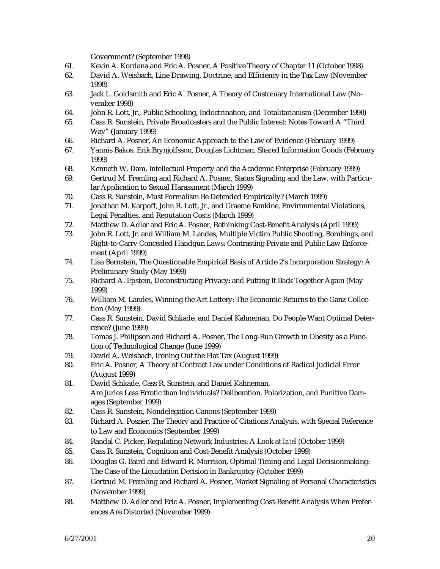Government? (September 1998)

- 61. Kevin A. Kordana and Eric A. Posner, A Positive Theory of Chapter 11 (October 1998)
- 62. David A. Weisbach, Line Drawing, Doctrine, and Efficiency in the Tax Law (November 1998)
- 63. Jack L. Goldsmith and Eric A. Posner, A Theory of Customary International Law (November 1998)
- 64. John R. Lott, Jr., Public Schooling, Indoctrination, and Totalitarianism (December 1998)
- 65. Cass R. Sunstein, Private Broadcasters and the Public Interest: Notes Toward A "Third Way" (January 1999)
- 66. Richard A. Posner, An Economic Approach to the Law of Evidence (February 1999)
- 67. Yannis Bakos, Erik Brynjolfsson, Douglas Lichtman, Shared Information Goods (February 1999)
- 68. Kenneth W. Dam, Intellectual Property and the Academic Enterprise (February 1999)
- 69. Gertrud M. Fremling and Richard A. Posner, Status Signaling and the Law, with Particular Application to Sexual Harassment (March 1999)
- 70. Cass R. Sunstein, Must Formalism Be Defended Empirically? (March 1999)
- 71. Jonathan M. Karpoff, John R. Lott, Jr., and Graeme Rankine, Environmental Violations, Legal Penalties, and Reputation Costs (March 1999)
- 72. Matthew D. Adler and Eric A. Posner, Rethinking Cost-Benefit Analysis (April 1999)
- 73. John R. Lott, Jr. and William M. Landes, Multiple Victim Public Shooting, Bombings, and Right-to-Carry Concealed Handgun Laws: Contrasting Private and Public Law Enforcement (April 1999)
- 74. Lisa Bernstein, The Questionable Empirical Basis of Article 2's Incorporation Strategy: A Preliminary Study (May 1999)
- 75. Richard A. Epstein, Deconstructing Privacy: and Putting It Back Together Again (May 1999)
- 76. William M. Landes, Winning the Art Lottery: The Economic Returns to the Ganz Collection (May 1999)
- 77. Cass R. Sunstein, David Schkade, and Daniel Kahneman, Do People Want Optimal Deterrence? (June 1999)
- 78. Tomas J. Philipson and Richard A. Posner, The Long-Run Growth in Obesity as a Function of Technological Change (June 1999)
- 79. David A. Weisbach, Ironing Out the Flat Tax (August 1999)
- 80. Eric A. Posner, A Theory of Contract Law under Conditions of Radical Judicial Error (August 1999)
- 81. David Schkade, Cass R. Sunstein, and Daniel Kahneman, Are Juries Less Erratic than Individuals? Deliberation, Polarization, and Punitive Damages (September 1999)
- 82. Cass R. Sunstein, Nondelegation Canons (September 1999)
- 83. Richard A. Posner, The Theory and Practice of Citations Analysis, with Special Reference to Law and Economics (September 1999)
- 84. Randal C. Picker, Regulating Network Industries: A Look at *Intel* (October 1999)
- 85. Cass R. Sunstein, Cognition and Cost-Benefit Analysis (October 1999)
- 86. Douglas G. Baird and Edward R. Morrison, Optimal Timing and Legal Decisionmaking: The Case of the Liquidation Decision in Bankruptcy (October 1999)
- 87. Gertrud M. Fremling and Richard A. Posner, Market Signaling of Personal Characteristics (November 1999)
- 88. Matthew D. Adler and Eric A. Posner, Implementing Cost-Benefit Analysis When Preferences Are Distorted (November 1999)